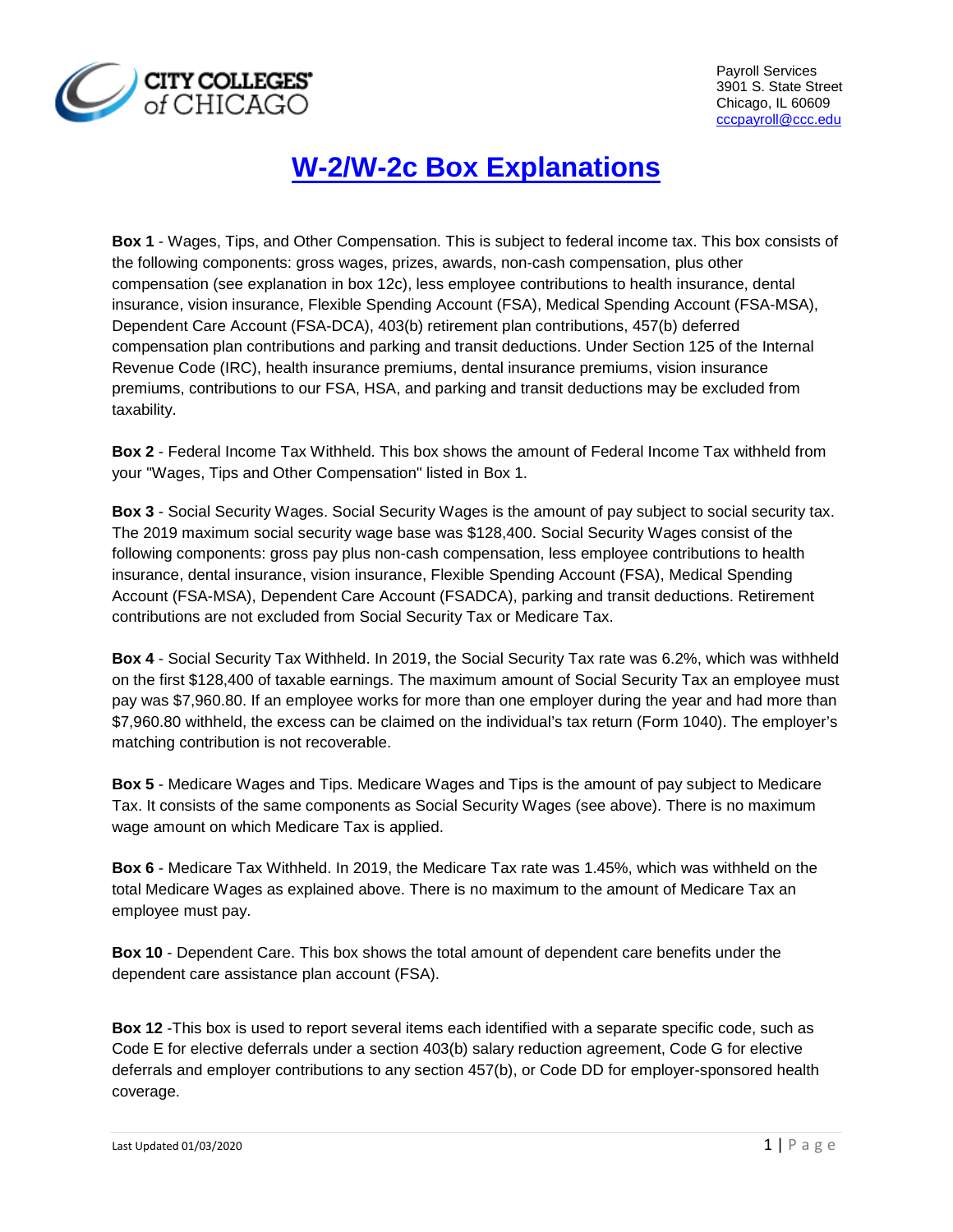

## **W-2/W-2c Box Explanations**

**Box 1** - Wages, Tips, and Other Compensation. This is subject to federal income tax. This box consists of the following components: gross wages, prizes, awards, non-cash compensation, plus other compensation (see explanation in box 12c), less employee contributions to health insurance, dental insurance, vision insurance, Flexible Spending Account (FSA), Medical Spending Account (FSA-MSA), Dependent Care Account (FSA-DCA), 403(b) retirement plan contributions, 457(b) deferred compensation plan contributions and parking and transit deductions. Under Section 125 of the Internal Revenue Code (IRC), health insurance premiums, dental insurance premiums, vision insurance premiums, contributions to our FSA, HSA, and parking and transit deductions may be excluded from taxability.

**Box 2** - Federal Income Tax Withheld. This box shows the amount of Federal Income Tax withheld from your "Wages, Tips and Other Compensation" listed in Box 1.

**Box 3** - Social Security Wages. Social Security Wages is the amount of pay subject to social security tax. The 2019 maximum social security wage base was \$128,400. Social Security Wages consist of the following components: gross pay plus non-cash compensation, less employee contributions to health insurance, dental insurance, vision insurance, Flexible Spending Account (FSA), Medical Spending Account (FSA-MSA), Dependent Care Account (FSADCA), parking and transit deductions. Retirement contributions are not excluded from Social Security Tax or Medicare Tax.

**Box 4** - Social Security Tax Withheld. In 2019, the Social Security Tax rate was 6.2%, which was withheld on the first \$128,400 of taxable earnings. The maximum amount of Social Security Tax an employee must pay was \$7,960.80. If an employee works for more than one employer during the year and had more than \$7,960.80 withheld, the excess can be claimed on the individual's tax return (Form 1040). The employer's matching contribution is not recoverable.

**Box 5** - Medicare Wages and Tips. Medicare Wages and Tips is the amount of pay subject to Medicare Tax. It consists of the same components as Social Security Wages (see above). There is no maximum wage amount on which Medicare Tax is applied.

**Box 6** - Medicare Tax Withheld. In 2019, the Medicare Tax rate was 1.45%, which was withheld on the total Medicare Wages as explained above. There is no maximum to the amount of Medicare Tax an employee must pay.

**Box 10** - Dependent Care. This box shows the total amount of dependent care benefits under the dependent care assistance plan account (FSA).

**Box 12** -This box is used to report several items each identified with a separate specific code, such as Code E for elective deferrals under a section 403(b) salary reduction agreement, Code G for elective deferrals and employer contributions to any section 457(b), or Code DD for employer-sponsored health coverage.